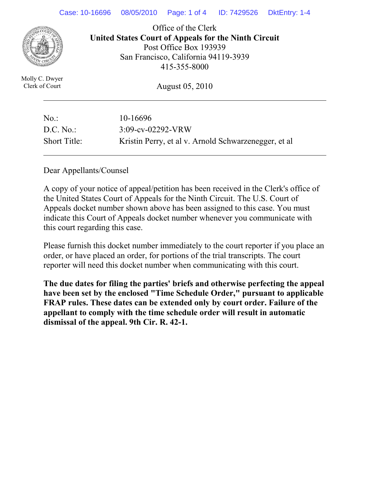

Office of the Clerk **United States Court of Appeals for the Ninth Circuit**  Post Office Box 193939 San Francisco, California 94119-3939 415-355-8000

Molly C. Dwyer Clerk of Court

August 05, 2010

| $No.$ :             | 10-16696                                             |
|---------------------|------------------------------------------------------|
| D.C. No.            | $3:09$ -cv-02292-VRW                                 |
| <b>Short Title:</b> | Kristin Perry, et al v. Arnold Schwarzenegger, et al |

Dear Appellants/Counsel

A copy of your notice of appeal/petition has been received in the Clerk's office of the United States Court of Appeals for the Ninth Circuit. The U.S. Court of Appeals docket number shown above has been assigned to this case. You must indicate this Court of Appeals docket number whenever you communicate with this court regarding this case.

Please furnish this docket number immediately to the court reporter if you place an order, or have placed an order, for portions of the trial transcripts. The court reporter will need this docket number when communicating with this court.

**The due dates for filing the parties' briefs and otherwise perfecting the appeal have been set by the enclosed "Time Schedule Order," pursuant to applicable FRAP rules. These dates can be extended only by court order. Failure of the appellant to comply with the time schedule order will result in automatic dismissal of the appeal. 9th Cir. R. 42-1.**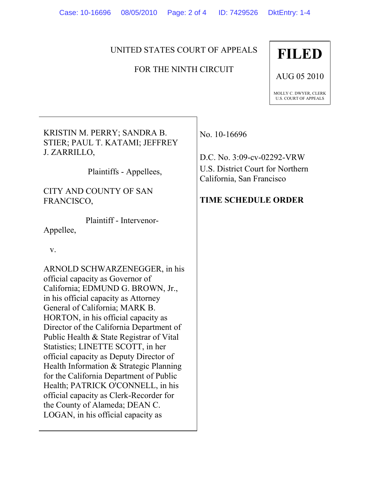## UNITED STATES COURT OF APPEALS

## FOR THE NINTH CIRCUIT

## **FILED**

AUG 05 2010

MOLLY C. DWYER, CLERK U.S. COURT OF APPEALS

KRISTIN M. PERRY; SANDRA B. STIER; PAUL T. KATAMI; JEFFREY J. ZARRILLO,

Plaintiffs - Appellees,

CITY AND COUNTY OF SAN FRANCISCO,

 Plaintiff - Intervenor-Appellee,

v.

ARNOLD SCHWARZENEGGER, in his official capacity as Governor of California; EDMUND G. BROWN, Jr., in his official capacity as Attorney General of California; MARK B. HORTON, in his official capacity as Director of the California Department of Public Health & State Registrar of Vital Statistics; LINETTE SCOTT, in her official capacity as Deputy Director of Health Information & Strategic Planning for the California Department of Public Health; PATRICK O'CONNELL, in his official capacity as Clerk-Recorder for the County of Alameda; DEAN C. LOGAN, in his official capacity as

No. 10-16696

D.C. No. 3:09-cv-02292-VRW U.S. District Court for Northern California, San Francisco

## **TIME SCHEDULE ORDER**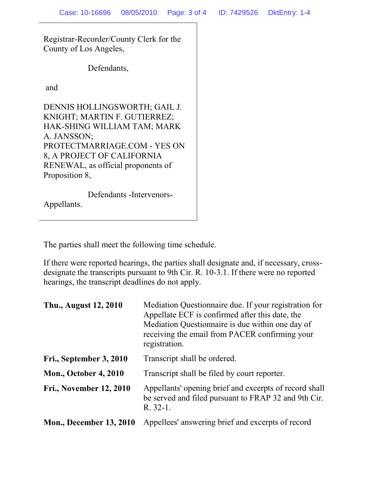Registrar-Recorder/County Clerk for the County of Los Angeles,

Defendants,

and

DENNIS HOLLINGSWORTH; GAIL J. KNIGHT; MARTIN F. GUTIERREZ; HAK-SHING WILLIAM TAM; MARK A. JANSSON; PROTECTMARRIAGE.COM - YES ON 8, A PROJECT OF CALIFORNIA RENEWAL, as official proponents of Proposition 8,

 Defendants -Intervenors-Appellants.

The parties shall meet the following time schedule.

If there were reported hearings, the parties shall designate and, if necessary, crossdesignate the transcripts pursuant to 9th Cir. R. 10-3.1. If there were no reported hearings, the transcript deadlines do not apply.

| Thu., August 12, 2010          | Mediation Questionnaire due. If your registration for<br>Appellate ECF is confirmed after this date, the<br>Mediation Questionnaire is due within one day of<br>receiving the email from PACER confirming your<br>registration. |
|--------------------------------|---------------------------------------------------------------------------------------------------------------------------------------------------------------------------------------------------------------------------------|
| Fri., September 3, 2010        | Transcript shall be ordered.                                                                                                                                                                                                    |
| <b>Mon., October 4, 2010</b>   | Transcript shall be filed by court reporter.                                                                                                                                                                                    |
| <b>Fri., November 12, 2010</b> | Appellants' opening brief and excerpts of record shall<br>be served and filed pursuant to FRAP 32 and 9th Cir.<br>R. 32-1.                                                                                                      |
| <b>Mon., December 13, 2010</b> | Appellees' answering brief and excerpts of record                                                                                                                                                                               |